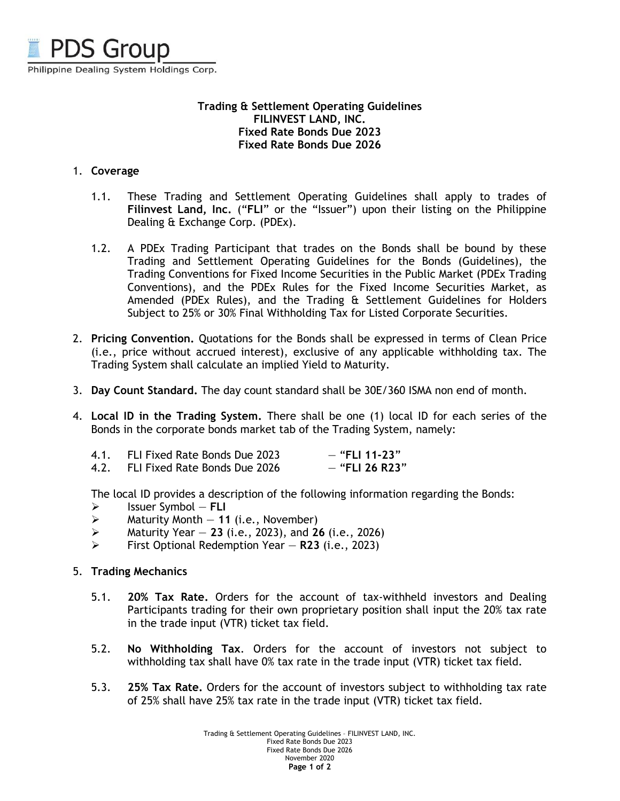

## **Trading & Settlement Operating Guidelines FILINVEST LAND, INC. Fixed Rate Bonds Due 2023 Fixed Rate Bonds Due 2026**

## 1. **Coverage**

- 1.1. These Trading and Settlement Operating Guidelines shall apply to trades of **Filinvest Land, Inc.** ("**FLI**" or the "Issuer") upon their listing on the Philippine Dealing & Exchange Corp. (PDEx).
- 1.2. A PDEx Trading Participant that trades on the Bonds shall be bound by these Trading and Settlement Operating Guidelines for the Bonds (Guidelines), the Trading Conventions for Fixed Income Securities in the Public Market (PDEx Trading Conventions), and the PDEx Rules for the Fixed Income Securities Market, as Amended (PDEx Rules), and the Trading & Settlement Guidelines for Holders Subject to 25% or 30% Final Withholding Tax for Listed Corporate Securities.
- 2. **Pricing Convention.** Quotations for the Bonds shall be expressed in terms of Clean Price (i.e., price without accrued interest), exclusive of any applicable withholding tax. The Trading System shall calculate an implied Yield to Maturity.
- 3. **Day Count Standard.** The day count standard shall be 30E/360 ISMA non end of month.
- 4. **Local ID in the Trading System.** There shall be one (1) local ID for each series of the Bonds in the corporate bonds market tab of the Trading System, namely:

| 4.1. | FLI Fixed Rate Bonds Due 2023 | $-$ "FLI 11-23"  |
|------|-------------------------------|------------------|
| 4.2. | FLI Fixed Rate Bonds Due 2026 | $-$ "FLI 26 R23" |

The local ID provides a description of the following information regarding the Bonds:

- Issuer Symbol **FLI**
- $\triangleright$  Maturity Month  $-11$  (i.e., November)
- Maturity Year **23** (i.e., 2023), and **26** (i.e., 2026)
- First Optional Redemption Year **R23** (i.e., 2023)

## 5. **Trading Mechanics**

- 5.1. **20% Tax Rate.** Orders for the account of tax-withheld investors and Dealing Participants trading for their own proprietary position shall input the 20% tax rate in the trade input (VTR) ticket tax field.
- 5.2. **No Withholding Tax**. Orders for the account of investors not subject to withholding tax shall have 0% tax rate in the trade input (VTR) ticket tax field.
- 5.3. **25% Tax Rate.** Orders for the account of investors subject to withholding tax rate of 25% shall have 25% tax rate in the trade input (VTR) ticket tax field.